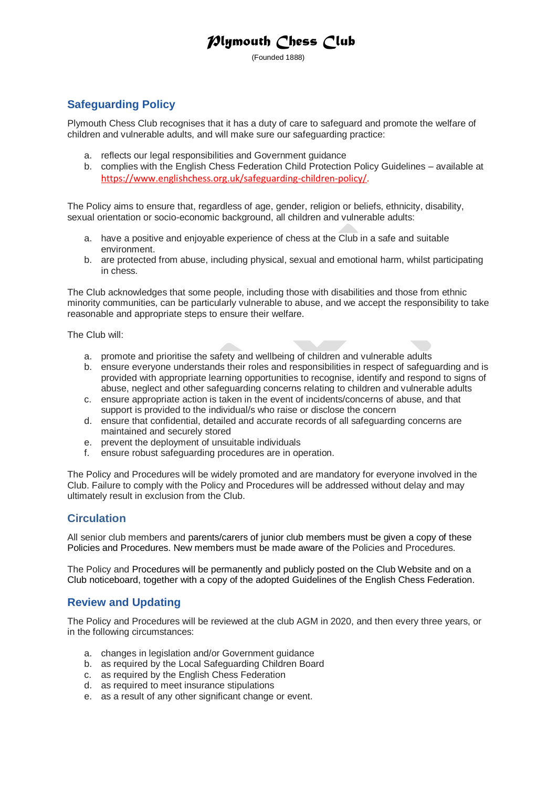# *Plymouth Chess Club*

(Founded 1888)

## **Safeguarding Policy**

Plymouth Chess Club recognises that it has a duty of care to safeguard and promote the welfare of children and vulnerable adults, and will make sure our safeguarding practice:

- a. reflects our legal responsibilities and Government guidance
- b. complies with the English Chess Federation Child Protection Policy Guidelines available at [https://www.englishchess.org.uk/safeguarding-children-policy/.](https://www.englishchess.org.uk/safeguarding-children-policy/)

The Policy aims to ensure that, regardless of age, gender, religion or beliefs, ethnicity, disability, sexual orientation or socio-economic background, all children and vulnerable adults:

- a. have a positive and enjoyable experience of chess at the Club in a safe and suitable environment.
- b. are protected from abuse, including physical, sexual and emotional harm, whilst participating in chess.

The Club acknowledges that some people, including those with disabilities and those from ethnic minority communities, can be particularly vulnerable to abuse, and we accept the responsibility to take reasonable and appropriate steps to ensure their welfare.

The Club will:

- a. promote and prioritise the safety and wellbeing of children and vulnerable adults
- b. ensure everyone understands their roles and responsibilities in respect of safeguarding and is provided with appropriate learning opportunities to recognise, identify and respond to signs of abuse, neglect and other safeguarding concerns relating to children and vulnerable adults
- c. ensure appropriate action is taken in the event of incidents/concerns of abuse, and that support is provided to the individual/s who raise or disclose the concern
- d. ensure that confidential, detailed and accurate records of all safeguarding concerns are maintained and securely stored
- e. prevent the deployment of unsuitable individuals
- f. ensure robust safeguarding procedures are in operation.

The Policy and Procedures will be widely promoted and are mandatory for everyone involved in the Club. Failure to comply with the Policy and Procedures will be addressed without delay and may ultimately result in exclusion from the Club.

#### **Circulation**

All senior club members and parents/carers of junior club members must be given a copy of these Policies and Procedures. New members must be made aware of the Policies and Procedures.

The Policy and Procedures will be permanently and publicly posted on the Club Website and on a Club noticeboard, together with a copy of the adopted Guidelines of the English Chess Federation.

#### **Review and Updating**

The Policy and Procedures will be reviewed at the club AGM in 2020, and then every three years, or in the following circumstances:

- a. changes in legislation and/or Government guidance
- b. as required by the Local Safeguarding Children Board
- c. as required by the English Chess Federation
- d. as required to meet insurance stipulations
- e. as a result of any other significant change or event.